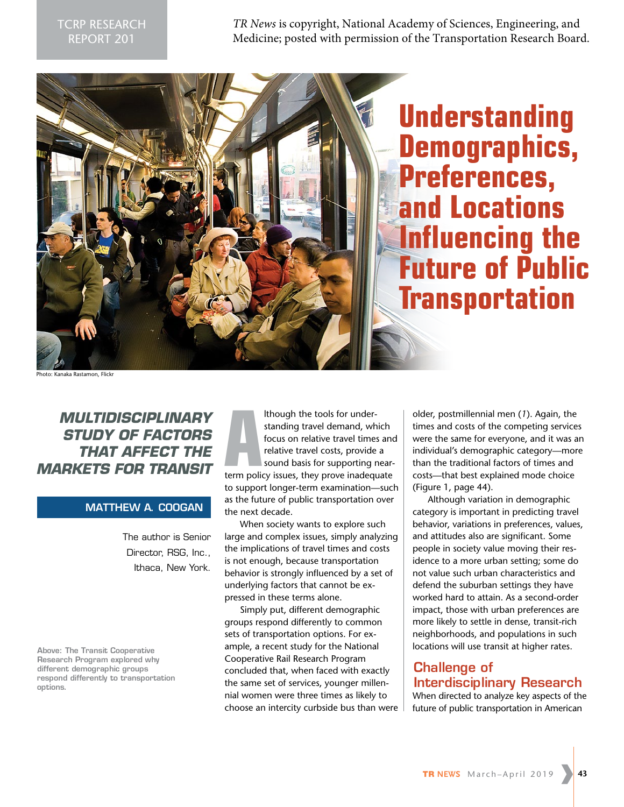*TR News* is copyright, National Academy of Sciences, Engineering, and Medicine; posted with permission of the Transportation Research Board.



# **Understanding Demographics, Preferences, and Locations Influencing the Future of Public Transportation**

Photo: Kanaka Rastamon, Flickr

*MULTIDISCIPLINARY STUDY OF FACTORS THAT AFFECT THE MARKETS FOR TRANSIT*

#### **MATTHEW A. COOGAN**

The author is Senior Director, RSG, Inc., Ithaca, New York.

**Above: The Transit Cooperative Research Program explored why different demographic groups respond differently to transportation options.** 

though the tools for under-<br>
standing travel demand, which<br>
focus on relative travel times and<br>
relative travel costs, provide a<br>
sound basis for supporting near-<br>
term policy issues, they prove inadequate lthough the tools for understanding travel demand, which focus on relative travel times and relative travel costs, provide a sound basis for supporting nearto support longer-term examination—such as the future of public transportation over the next decade.

When society wants to explore such large and complex issues, simply analyzing the implications of travel times and costs is not enough, because transportation behavior is strongly influenced by a set of underlying factors that cannot be expressed in these terms alone.

Simply put, different demographic groups respond differently to common sets of transportation options. For example, a recent study for the National Cooperative Rail Research Program concluded that, when faced with exactly the same set of services, younger millennial women were three times as likely to choose an intercity curbside bus than were

older, postmillennial men (*1*). Again, the times and costs of the competing services were the same for everyone, and it was an individual's demographic category—more than the traditional factors of times and costs—that best explained mode choice (Figure 1, page 44).

Although variation in demographic category is important in predicting travel behavior, variations in preferences, values, and attitudes also are significant. Some people in society value moving their residence to a more urban setting; some do not value such urban characteristics and defend the suburban settings they have worked hard to attain. As a second-order impact, those with urban preferences are more likely to settle in dense, transit-rich neighborhoods, and populations in such locations will use transit at higher rates.

# **Challenge of Interdisciplinary Research**

When directed to analyze key aspects of the future of public transportation in American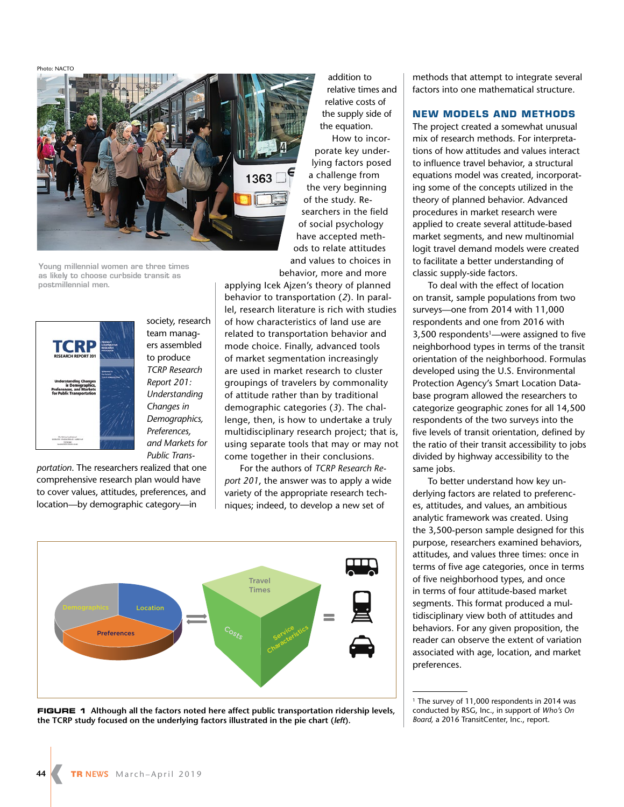Photo: NACTO



**Young millennial women are three times as likely to choose curbside transit as postmillennial men.** 



team managers assembled to produce *TCRP Research Report 201: Understanding Changes in Demographics, Preferences, and Markets for Public Trans-*

society, research

*portation*. The researchers realized that one comprehensive research plan would have to cover values, attitudes, preferences, and location—by demographic category—in

addition to relative times and relative costs of the supply side of the equation. How to incorporate key underlying factors posed a challenge from the very beginning of the study. Researchers in the field of social psychology have accepted methods to relate attitudes and values to choices in

behavior, more and more applying Icek Ajzen's theory of planned behavior to transportation (*2*). In parallel, research literature is rich with studies of how characteristics of land use are related to transportation behavior and mode choice. Finally, advanced tools of market segmentation increasingly are used in market research to cluster groupings of travelers by commonality of attitude rather than by traditional demographic categories (*3*). The challenge, then, is how to undertake a truly multidisciplinary research project; that is, using separate tools that may or may not come together in their conclusions.

For the authors of *TCRP Research Report 201*, the answer was to apply a wide variety of the appropriate research techniques; indeed, to develop a new set of



**FIGURE 1 Although all the factors noted here affect public transportation ridership levels, the TCRP study focused on the underlying factors illustrated in the pie chart (***left***).**

methods that attempt to integrate several factors into one mathematical structure.

#### **NEW MODELS AND METHODS**

The project created a somewhat unusual mix of research methods. For interpretations of how attitudes and values interact to influence travel behavior, a structural equations model was created, incorporating some of the concepts utilized in the theory of planned behavior. Advanced procedures in market research were applied to create several attitude-based market segments, and new multinomial logit travel demand models were created to facilitate a better understanding of classic supply-side factors.

To deal with the effect of location on transit, sample populations from two surveys—one from 2014 with 11,000 respondents and one from 2016 with 3,500 respondents<sup>1</sup>—were assigned to five neighborhood types in terms of the transit orientation of the neighborhood. Formulas developed using the U.S. Environmental Protection Agency's Smart Location Database program allowed the researchers to categorize geographic zones for all 14,500 respondents of the two surveys into the five levels of transit orientation, defined by the ratio of their transit accessibility to jobs divided by highway accessibility to the same jobs.

To better understand how key underlying factors are related to preferences, attitudes, and values, an ambitious analytic framework was created. Using the 3,500-person sample designed for this purpose, researchers examined behaviors, attitudes, and values three times: once in terms of five age categories, once in terms of five neighborhood types, and once in terms of four attitude-based market segments. This format produced a multidisciplinary view both of attitudes and behaviors. For any given proposition, the reader can observe the extent of variation associated with age, location, and market preferences.

<sup>&</sup>lt;sup>1</sup> The survey of 11,000 respondents in 2014 was conducted by RSG, Inc., in support of *Who's On Board,* a 2016 TransitCenter, Inc., report.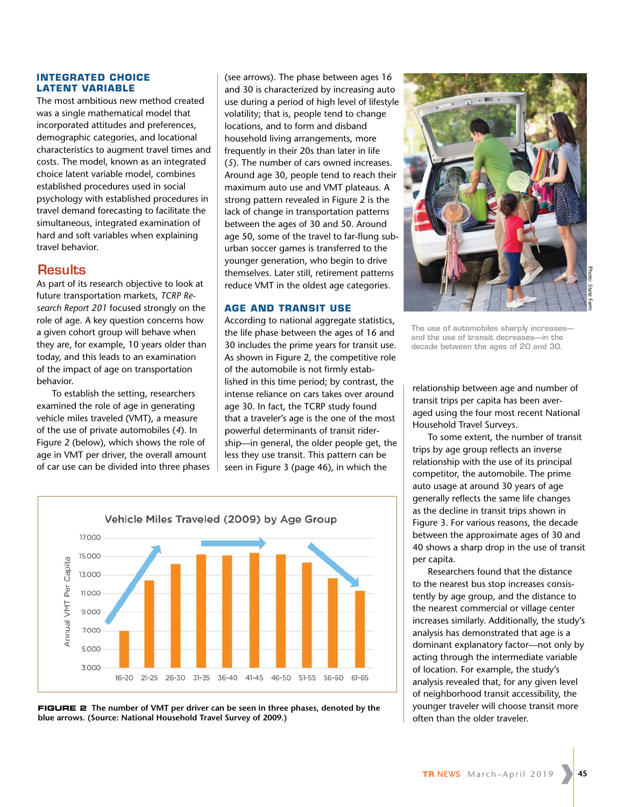#### **INTEGRATED CHOICE LATENT VARIABLE**

The most ambitious new method created was a single mathematical model that incorporated attitudes and preferences, demographic categories, and locational characteristics to augment travel times and costs. The model, known as an integrated choice latent variable model, combines established procedures used in social psychology with established procedures in travel demand forecasting to facilitate the simultaneous, integrated examination of hard and soft variables when explaining travel behavior.

### **Results**

As part of its research objective to look at future transportation markets, *TCRP Research Report 201* focused strongly on the role of age. A key question concerns how a given cohort group will behave when they are, for example, 10 years older than today, and this leads to an examination of the impact of age on transportation behavior.

To establish the setting, researchers examined the role of age in generating vehicle miles traveled (VMT), a measure of the use of private automobiles (*4*). In Figure 2 (below), which shows the role of age in VMT per driver, the overall amount of car use can be divided into three phases (see arrows). The phase between ages 16 and 30 is characterized by increasing auto use during a period of high level of lifestyle volatility; that is, people tend to change locations, and to form and disband household living arrangements, more frequently in their 20s than later in life (*5*). The number of cars owned increases. Around age 30, people tend to reach their maximum auto use and VMT plateaus. A strong pattern revealed in Figure 2 is the lack of change in transportation patterns between the ages of 30 and 50. Around age 50, some of the travel to far-flung suburban soccer games is transferred to the younger generation, who begin to drive themselves. Later still, retirement patterns reduce VMT in the oldest age categories.

#### **AGE AND TRANSIT USE**

According to national aggregate statistics, the life phase between the ages of 16 and 30 includes the prime years for transit use. As shown in Figure 2, the competitive role of the automobile is not firmly established in this time period; by contrast, the intense reliance on cars takes over around age 30. In fact, the TCRP study found that a traveler's age is the one of the most powerful determinants of transit ridership—in general, the older people get, the less they use transit. This pattern can be seen in Figure 3 (page 46), in which the



**FIGURE 2 The number of VMT per driver can be seen in three phases, denoted by the blue arrows. (Source: National Household Travel Survey of 2009.)**



**The use of automobiles sharply increases and the use of transit decreases—in the decade between the ages of 20 and 30.** 

relationship between age and number of transit trips per capita has been averaged using the four most recent National Household Travel Surveys.

To some extent, the number of transit trips by age group reflects an inverse relationship with the use of its principal competitor, the automobile. The prime auto usage at around 30 years of age generally reflects the same life changes as the decline in transit trips shown in Figure 3. For various reasons, the decade between the approximate ages of 30 and 40 shows a sharp drop in the use of transit per capita.

Researchers found that the distance to the nearest bus stop increases consistently by age group, and the distance to the nearest commercial or village center increases similarly. Additionally, the study's analysis has demonstrated that age is a dominant explanatory factor—not only by acting through the intermediate variable of location. For example, the study's analysis revealed that, for any given level of neighborhood transit accessibility, the younger traveler will choose transit more often than the older traveler.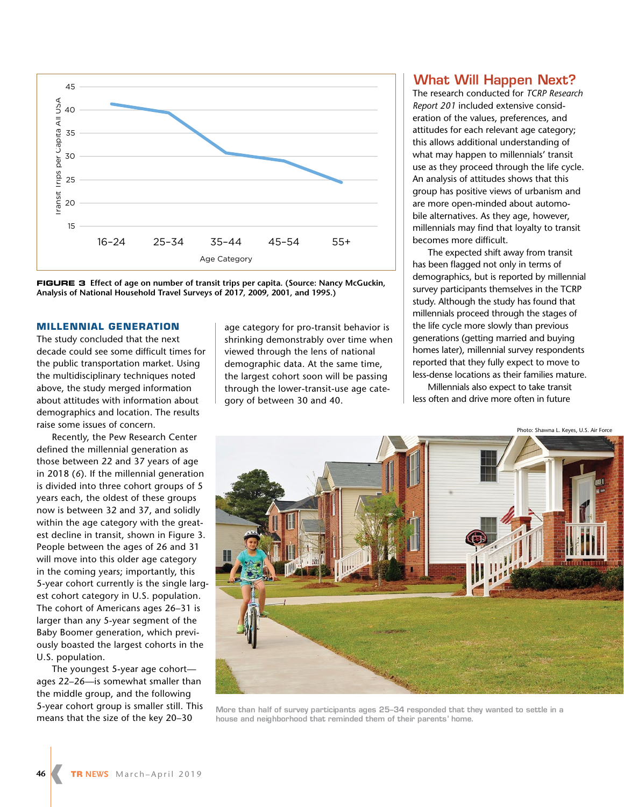

**FIGURE 3 Effect of age on number of transit trips per capita. (Source: Nancy McGuckin, Analysis of National Household Travel Surveys of 2017, 2009, 2001, and 1995.)**

#### **MILLENNIAL GENERATION**

The study concluded that the next decade could see some difficult times for the public transportation market. Using the multidisciplinary techniques noted above, the study merged information about attitudes with information about demographics and location. The results raise some issues of concern.

Recently, the Pew Research Center defined the millennial generation as those between 22 and 37 years of age in 2018 (*6*). If the millennial generation is divided into three cohort groups of 5 years each, the oldest of these groups now is between 32 and 37, and solidly within the age category with the greatest decline in transit, shown in Figure 3. People between the ages of 26 and 31 will move into this older age category in the coming years; importantly, this 5-year cohort currently is the single largest cohort category in U.S. population. The cohort of Americans ages 26–31 is larger than any 5-year segment of the Baby Boomer generation, which previously boasted the largest cohorts in the U.S. population.

The youngest 5-year age cohort ages 22–26—is somewhat smaller than the middle group, and the following 5-year cohort group is smaller still. This means that the size of the key 20–30

age category for pro-transit behavior is shrinking demonstrably over time when viewed through the lens of national demographic data. At the same time, the largest cohort soon will be passing through the lower-transit-use age category of between 30 and 40.

## **What Will Happen Next?**

The research conducted for *TCRP Research Report 201* included extensive consideration of the values, preferences, and attitudes for each relevant age category; this allows additional understanding of what may happen to millennials' transit use as they proceed through the life cycle. An analysis of attitudes shows that this group has positive views of urbanism and are more open-minded about automobile alternatives. As they age, however, millennials may find that loyalty to transit becomes more difficult.

The expected shift away from transit has been flagged not only in terms of demographics, but is reported by millennial survey participants themselves in the TCRP study. Although the study has found that millennials proceed through the stages of the life cycle more slowly than previous generations (getting married and buying homes later), millennial survey respondents reported that they fully expect to move to less-dense locations as their families mature.

Millennials also expect to take transit less often and drive more often in future

Photo: Shawna L. Keyes, U.S. Air Force



**More than half of survey participants ages 25–34 responded that they wanted to settle in a house and neighborhood that reminded them of their parents' home.**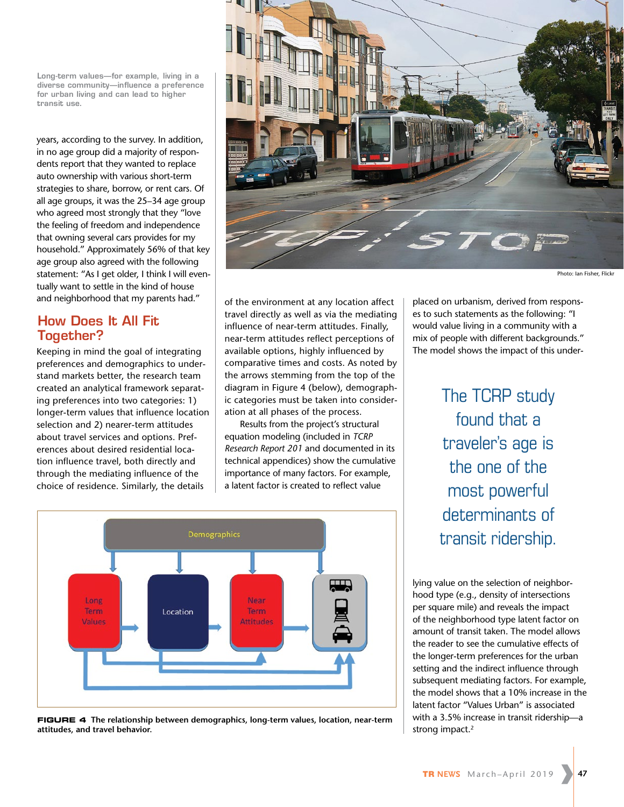**Long-term values—for example, living in a diverse community—influence a preference for urban living and can lead to higher transit use.** 

years, according to the survey. In addition, in no age group did a majority of respondents report that they wanted to replace auto ownership with various short-term strategies to share, borrow, or rent cars. Of all age groups, it was the 25–34 age group who agreed most strongly that they "love the feeling of freedom and independence that owning several cars provides for my household." Approximately 56% of that key age group also agreed with the following statement: "As I get older, I think I will eventually want to settle in the kind of house and neighborhood that my parents had."

# **How Does It All Fit Together?**

Keeping in mind the goal of integrating preferences and demographics to understand markets better, the research team created an analytical framework separating preferences into two categories: 1) longer-term values that influence location selection and 2) nearer-term attitudes about travel services and options. Preferences about desired residential location influence travel, both directly and through the mediating influence of the choice of residence. Similarly, the details



of the environment at any location affect travel directly as well as via the mediating influence of near-term attitudes. Finally, near-term attitudes reflect perceptions of available options, highly influenced by comparative times and costs. As noted by the arrows stemming from the top of the diagram in Figure 4 (below), demographic categories must be taken into consideration at all phases of the process.

Results from the project's structural equation modeling (included in *TCRP Research Report 201* and documented in its technical appendices) show the cumulative importance of many factors. For example, a latent factor is created to reflect value



**FIGURE 4 The relationship between demographics, long-term values, location, near-term attitudes, and travel behavior.**

placed on urbanism, derived from responses to such statements as the following: "I would value living in a community with a mix of people with different backgrounds." The model shows the impact of this under-

> The TCRP study found that a traveler's age is the one of the most powerful determinants of transit ridership.

lying value on the selection of neighborhood type (e.g., density of intersections per square mile) and reveals the impact of the neighborhood type latent factor on amount of transit taken. The model allows the reader to see the cumulative effects of the longer-term preferences for the urban setting and the indirect influence through subsequent mediating factors. For example, the model shows that a 10% increase in the latent factor "Values Urban" is associated with a 3.5% increase in transit ridership—a strong impact.<sup>2</sup>